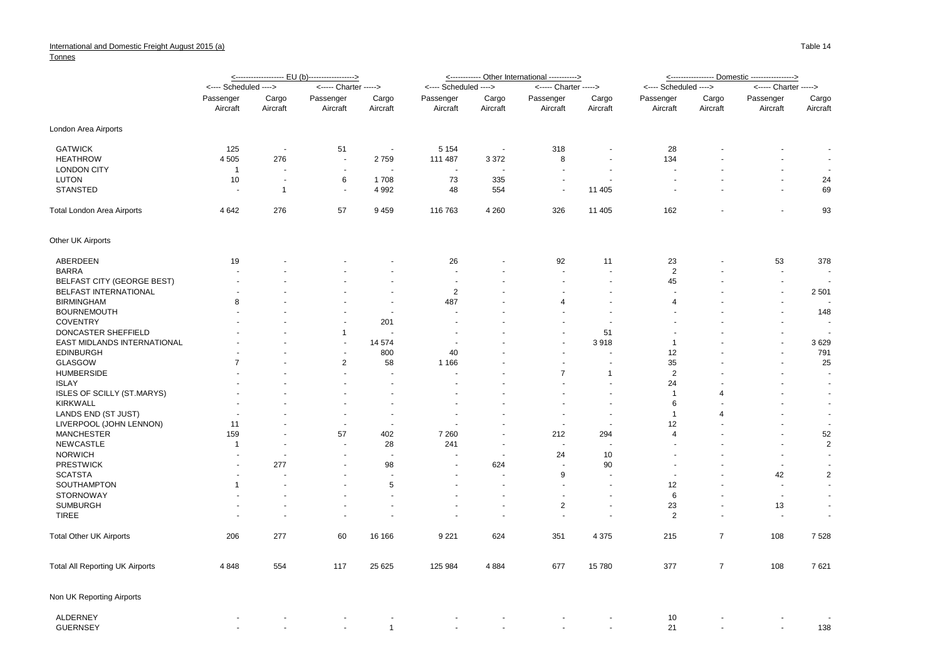## **Tonnes**

|                                        |                       |                      | <------------------- EU (b)------------------> |                          |                          |                          | <----------- Other International -----------> | <u>&lt;----------------- Domestic ----------------&gt;</u> |                       |                          |                          |                          |
|----------------------------------------|-----------------------|----------------------|------------------------------------------------|--------------------------|--------------------------|--------------------------|-----------------------------------------------|------------------------------------------------------------|-----------------------|--------------------------|--------------------------|--------------------------|
|                                        | <---- Scheduled ----> |                      | <----- Charter ----->                          |                          | <---- Scheduled ---->    |                          | <----- Charter ----->                         |                                                            | <---- Scheduled ----> |                          | <----- Charter ----->    |                          |
|                                        | Passenger<br>Aircraft | Cargo<br>Aircraft    | Passenger<br>Aircraft                          | Cargo<br>Aircraft        | Passenger<br>Aircraft    | Cargo<br>Aircraft        | Passenger<br>Aircraft                         | Cargo<br>Aircraft                                          | Passenger<br>Aircraft | Cargo<br>Aircraft        | Passenger<br>Aircraft    | Cargo<br>Aircraft        |
|                                        |                       |                      |                                                |                          |                          |                          |                                               |                                                            |                       |                          |                          |                          |
| London Area Airports                   |                       |                      |                                                |                          |                          |                          |                                               |                                                            |                       |                          |                          |                          |
| <b>GATWICK</b>                         | 125                   | $\blacksquare$       | 51                                             | $\sim$                   | 5 1 5 4                  | $\overline{\phantom{a}}$ | 318                                           |                                                            | 28                    |                          |                          | $\overline{\phantom{a}}$ |
| <b>HEATHROW</b>                        | 4 5 0 5               | 276                  | $\overline{\phantom{a}}$                       | 2759                     | 111 487                  | 3 3 7 2                  | 8                                             | ٠                                                          | 134                   |                          | $\overline{\phantom{a}}$ | $\sim$                   |
| <b>LONDON CITY</b>                     | $\mathbf{1}$          | $\ddot{\phantom{1}}$ | $\overline{a}$                                 |                          |                          | $\overline{\phantom{a}}$ | $\ddot{\phantom{1}}$                          | $\sim$                                                     |                       |                          |                          | $\sim$                   |
| LUTON                                  | 10                    | $\sim$               | 6                                              | 1708                     | 73                       | 335                      | ÷,                                            |                                                            |                       |                          | $\sim$                   | 24                       |
| <b>STANSTED</b>                        |                       | $\overline{1}$       | $\sim$                                         | 4 9 9 2                  | 48                       | 554                      | $\overline{\phantom{a}}$                      | 11 405                                                     |                       |                          | $\sim$                   | 69                       |
| <b>Total London Area Airports</b>      | 4 6 4 2               | 276                  | 57                                             | 9459                     | 116 763                  | 4 2 6 0                  | 326                                           | 11 405                                                     | 162                   |                          |                          | 93                       |
| Other UK Airports                      |                       |                      |                                                |                          |                          |                          |                                               |                                                            |                       |                          |                          |                          |
| ABERDEEN                               | 19                    |                      |                                                |                          | 26                       |                          | 92                                            | 11                                                         | 23                    |                          | 53                       | 378                      |
| <b>BARRA</b>                           |                       |                      |                                                |                          |                          | $\overline{\phantom{a}}$ | ÷,                                            | ÷,                                                         | $\overline{2}$        |                          | $\sim$                   | $\overline{\phantom{a}}$ |
| <b>BELFAST CITY (GEORGE BEST)</b>      |                       |                      |                                                |                          |                          |                          | $\ddot{\phantom{1}}$                          | ä,                                                         | 45                    |                          | $\blacksquare$           |                          |
| BELFAST INTERNATIONAL                  |                       |                      |                                                |                          | $\overline{2}$           |                          |                                               |                                                            |                       |                          | $\overline{\phantom{a}}$ | 2501                     |
| <b>BIRMINGHAM</b>                      | 8                     |                      |                                                | $\overline{\phantom{a}}$ | 487                      |                          | 4                                             | ÷,                                                         | $\overline{4}$        |                          | $\overline{\phantom{a}}$ |                          |
| <b>BOURNEMOUTH</b>                     |                       |                      |                                                |                          |                          |                          |                                               |                                                            |                       |                          |                          | 148                      |
| <b>COVENTRY</b>                        |                       |                      |                                                | 201                      |                          |                          |                                               | $\overline{\phantom{a}}$                                   |                       |                          |                          |                          |
| DONCASTER SHEFFIELD                    |                       |                      | $\mathbf{1}$                                   | $\overline{a}$           |                          |                          |                                               | 51                                                         |                       |                          | ÷.                       | $\sim$                   |
| EAST MIDLANDS INTERNATIONAL            |                       |                      | $\blacksquare$                                 | 14 574                   |                          |                          |                                               | 3918                                                       | $\overline{1}$        |                          |                          | 3629                     |
| <b>EDINBURGH</b>                       |                       |                      | $\sim$                                         | 800                      | 40                       |                          | ÷.                                            | ä,                                                         | 12                    |                          | $\sim$                   | 791                      |
| GLASGOW                                | $\overline{7}$        |                      | $\overline{2}$                                 | 58                       | 1 1 6 6                  |                          |                                               |                                                            | 35                    |                          |                          | 25                       |
| <b>HUMBERSIDE</b>                      |                       |                      | $\overline{a}$                                 | $\overline{a}$           |                          |                          | $\overline{7}$                                | $\mathbf{1}$                                               | $\overline{2}$        |                          |                          | $\overline{a}$           |
| <b>ISLAY</b>                           |                       |                      | $\blacksquare$                                 | $\overline{\phantom{a}}$ |                          |                          |                                               | ä,                                                         | 24                    |                          |                          | $\sim$                   |
| <b>ISLES OF SCILLY (ST.MARYS)</b>      |                       |                      |                                                | $\sim$                   |                          |                          |                                               | ÷.                                                         | $\mathbf{1}$          | $\overline{\mathcal{A}}$ |                          | $\sim$                   |
| <b>KIRKWALL</b>                        |                       |                      |                                                |                          |                          |                          |                                               |                                                            | 6                     |                          |                          | $\sim$                   |
|                                        |                       |                      | $\overline{a}$                                 | $\sim$                   |                          |                          | $\ddot{\phantom{1}}$                          | ÷.                                                         | $\mathbf{1}$          | $\boldsymbol{\Delta}$    |                          | $\sim$                   |
| LANDS END (ST JUST)                    |                       |                      |                                                |                          |                          |                          |                                               | ä,                                                         | 12                    |                          |                          |                          |
| LIVERPOOL (JOHN LENNON)                | 11                    |                      | ÷,                                             | $\overline{\phantom{a}}$ |                          |                          |                                               |                                                            |                       |                          |                          | $\overline{\phantom{a}}$ |
| <b>MANCHESTER</b>                      | 159                   |                      | 57                                             | 402                      | 7 2 6 0                  |                          | 212                                           | 294                                                        | $\overline{4}$        |                          |                          | 52                       |
| <b>NEWCASTLE</b>                       | $\mathbf{1}$          |                      |                                                | 28                       | 241                      |                          |                                               |                                                            |                       |                          |                          | $\overline{2}$           |
| <b>NORWICH</b>                         |                       | $\ddot{\phantom{1}}$ | $\overline{a}$                                 | $\sim$                   | $\overline{\phantom{a}}$ | $\overline{\phantom{a}}$ | 24                                            | 10                                                         |                       |                          | $\sim$                   | $\sim$                   |
| <b>PRESTWICK</b>                       |                       | 277                  | $\blacksquare$                                 | 98                       |                          | 624                      |                                               | 90                                                         |                       |                          | $\overline{\phantom{a}}$ | $\blacksquare$           |
| <b>SCATSTA</b>                         |                       |                      |                                                |                          |                          | $\overline{a}$           | 9                                             |                                                            |                       |                          | 42                       | $\overline{2}$           |
| SOUTHAMPTON                            | $\mathbf{1}$          |                      |                                                | 5                        |                          |                          |                                               | $\blacksquare$                                             | 12                    |                          | $\overline{\phantom{a}}$ | $\sim$                   |
| <b>STORNOWAY</b>                       |                       |                      |                                                | $\sim$                   |                          | $\overline{\phantom{a}}$ | $\blacksquare$                                | $\overline{\phantom{a}}$                                   | 6                     |                          | $\overline{\phantom{a}}$ | $\sim$                   |
| <b>SUMBURGH</b>                        |                       | $\ddot{\phantom{1}}$ |                                                | $\sim$                   |                          |                          | $\overline{2}$                                | $\blacksquare$                                             | 23                    |                          | 13                       | $\sim$                   |
| <b>TIREE</b>                           |                       |                      |                                                |                          |                          |                          | ÷,                                            | ÷,                                                         | $\overline{2}$        |                          | ÷.                       | $\sim$                   |
| <b>Total Other UK Airports</b>         | 206                   | 277                  | 60                                             | 16 16 6                  | 9 2 2 1                  | 624                      | 351                                           | 4 3 7 5                                                    | 215                   | $\overline{7}$           | 108                      | 7528                     |
| <b>Total All Reporting UK Airports</b> | 4 8 4 8               | 554                  | 117                                            | 25 6 25                  | 125 984                  | 4884                     | 677                                           | 15780                                                      | 377                   | $\overline{7}$           | 108                      | 7621                     |
| Non UK Reporting Airports              |                       |                      |                                                |                          |                          |                          |                                               |                                                            |                       |                          |                          |                          |
| ALDERNEY                               |                       |                      |                                                |                          |                          |                          |                                               |                                                            | 10                    |                          |                          |                          |
| <b>GUERNSEY</b>                        |                       |                      |                                                | $\mathbf{1}$             |                          |                          |                                               | $\blacksquare$                                             | 21                    |                          |                          | 138                      |